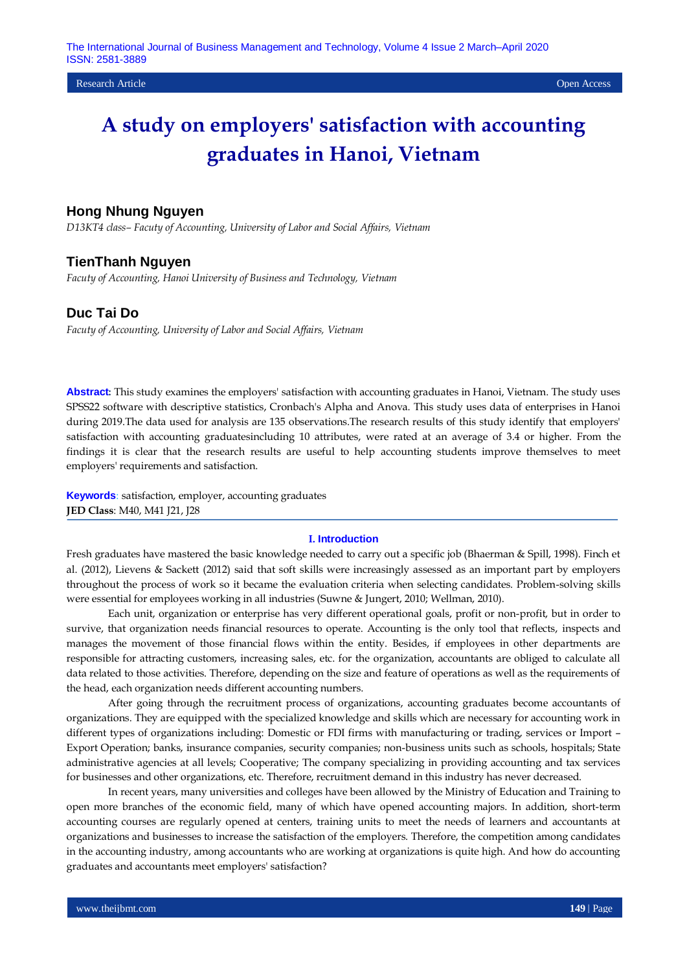# **Hong Nhung Nguyen**

*D13KT4 class– Facuty of Accounting, University of Labor and Social Affairs, Vietnam*

## **TienThanh Nguyen**

*Facuty of Accounting, Hanoi University of Business and Technology, Vietnam*

# **Duc Tai Do**

*Facuty of Accounting, University of Labor and Social Affairs, Vietnam*

**Abstract:** This study examines the employers' satisfaction with accounting graduates in Hanoi, Vietnam. The study uses SPSS22 software with descriptive statistics, Cronbach's Alpha and Anova. This study uses data of enterprises in Hanoi during 2019.The data used for analysis are 135 observations.The research results of this study identify that employers' satisfaction with accounting graduatesincluding 10 attributes, were rated at an average of 3.4 or higher. From the findings it is clear that the research results are useful to help accounting students improve themselves to meet employers' requirements and satisfaction.

**Keywords**: satisfaction, employer, accounting graduates **JED Class**: M40, M41 J21, J28

### **I. Introduction**

Fresh graduates have mastered the basic knowledge needed to carry out a specific job (Bhaerman & Spill, 1998). Finch et al. (2012), Lievens & Sackett (2012) said that soft skills were increasingly assessed as an important part by employers throughout the process of work so it became the evaluation criteria when selecting candidates. Problem-solving skills were essential for employees working in all industries (Suwne & Jungert, 2010; Wellman, 2010).

Each unit, organization or enterprise has very different operational goals, profit or non-profit, but in order to survive, that organization needs financial resources to operate. Accounting is the only tool that reflects, inspects and manages the movement of those financial flows within the entity. Besides, if employees in other departments are responsible for attracting customers, increasing sales, etc. for the organization, accountants are obliged to calculate all data related to those activities. Therefore, depending on the size and feature of operations as well as the requirements of the head, each organization needs different accounting numbers.

After going through the recruitment process of organizations, accounting graduates become accountants of organizations. They are equipped with the specialized knowledge and skills which are necessary for accounting work in different types of organizations including: Domestic or FDI firms with manufacturing or trading, services or Import – Export Operation; banks, insurance companies, security companies; non-business units such as schools, hospitals; State administrative agencies at all levels; Cooperative; The company specializing in providing accounting and tax services for businesses and other organizations, etc. Therefore, recruitment demand in this industry has never decreased.

In recent years, many universities and colleges have been allowed by the Ministry of Education and Training to open more branches of the economic field, many of which have opened accounting majors. In addition, short-term accounting courses are regularly opened at centers, training units to meet the needs of learners and accountants at organizations and businesses to increase the satisfaction of the employers. Therefore, the competition among candidates in the accounting industry, among accountants who are working at organizations is quite high. And how do accounting graduates and accountants meet employers' satisfaction?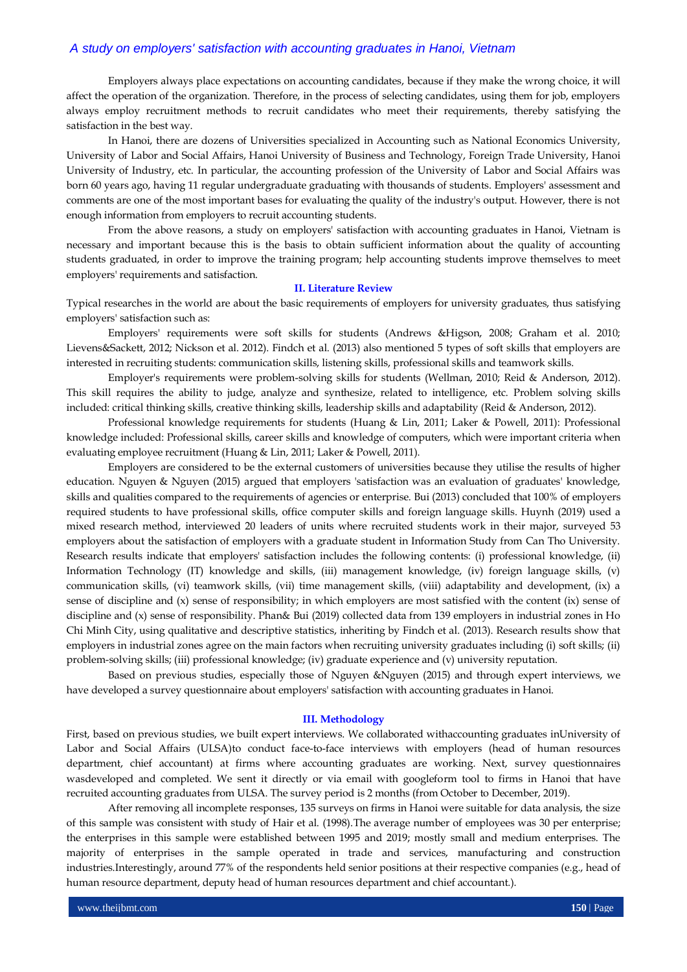Employers always place expectations on accounting candidates, because if they make the wrong choice, it will affect the operation of the organization. Therefore, in the process of selecting candidates, using them for job, employers always employ recruitment methods to recruit candidates who meet their requirements, thereby satisfying the satisfaction in the best way.

In Hanoi, there are dozens of Universities specialized in Accounting such as National Economics University, University of Labor and Social Affairs, Hanoi University of Business and Technology, Foreign Trade University, Hanoi University of Industry, etc. In particular, the accounting profession of the University of Labor and Social Affairs was born 60 years ago, having 11 regular undergraduate graduating with thousands of students. Employers' assessment and comments are one of the most important bases for evaluating the quality of the industry's output. However, there is not enough information from employers to recruit accounting students.

From the above reasons, a study on employers' satisfaction with accounting graduates in Hanoi, Vietnam is necessary and important because this is the basis to obtain sufficient information about the quality of accounting students graduated, in order to improve the training program; help accounting students improve themselves to meet employers' requirements and satisfaction.

#### **II. Literature Review**

Typical researches in the world are about the basic requirements of employers for university graduates, thus satisfying employers' satisfaction such as:

Employers' requirements were soft skills for students (Andrews &Higson, 2008; Graham et al. 2010; Lievens&Sackett, 2012; Nickson et al. 2012). Findch et al. (2013) also mentioned 5 types of soft skills that employers are interested in recruiting students: communication skills, listening skills, professional skills and teamwork skills.

Employer's requirements were problem-solving skills for students (Wellman, 2010; Reid & Anderson, 2012). This skill requires the ability to judge, analyze and synthesize, related to intelligence, etc. Problem solving skills included: critical thinking skills, creative thinking skills, leadership skills and adaptability (Reid & Anderson, 2012).

Professional knowledge requirements for students (Huang & Lin, 2011; Laker & Powell, 2011): Professional knowledge included: Professional skills, career skills and knowledge of computers, which were important criteria when evaluating employee recruitment (Huang & Lin, 2011; Laker & Powell, 2011).

Employers are considered to be the external customers of universities because they utilise the results of higher education. Nguyen & Nguyen (2015) argued that employers 'satisfaction was an evaluation of graduates' knowledge, skills and qualities compared to the requirements of agencies or enterprise. Bui (2013) concluded that 100% of employers required students to have professional skills, office computer skills and foreign language skills. Huynh (2019) used a mixed research method, interviewed 20 leaders of units where recruited students work in their major, surveyed 53 employers about the satisfaction of employers with a graduate student in Information Study from Can Tho University. Research results indicate that employers' satisfaction includes the following contents: (i) professional knowledge, (ii) Information Technology (IT) knowledge and skills, (iii) management knowledge, (iv) foreign language skills, (v) communication skills, (vi) teamwork skills, (vii) time management skills, (viii) adaptability and development, (ix) a sense of discipline and (x) sense of responsibility; in which employers are most satisfied with the content (ix) sense of discipline and (x) sense of responsibility. Phan& Bui (2019) collected data from 139 employers in industrial zones in Ho Chi Minh City, using qualitative and descriptive statistics, inheriting by Findch et al. (2013). Research results show that employers in industrial zones agree on the main factors when recruiting university graduates including (i) soft skills; (ii) problem-solving skills; (iii) professional knowledge; (iv) graduate experience and (v) university reputation.

Based on previous studies, especially those of Nguyen &Nguyen (2015) and through expert interviews, we have developed a survey questionnaire about employers' satisfaction with accounting graduates in Hanoi.

#### **III. Methodology**

First, based on previous studies, we built expert interviews. We collaborated withaccounting graduates inUniversity of Labor and Social Affairs (ULSA)to conduct face-to-face interviews with employers (head of human resources department, chief accountant) at firms where accounting graduates are working. Next, survey questionnaires wasdeveloped and completed. We sent it directly or via email with googleform tool to firms in Hanoi that have recruited accounting graduates from ULSA. The survey period is 2 months (from October to December, 2019).

After removing all incomplete responses, 135 surveys on firms in Hanoi were suitable for data analysis, the size of this sample was consistent with study of Hair et al. (1998).The average number of employees was 30 per enterprise; the enterprises in this sample were established between 1995 and 2019; mostly small and medium enterprises. The majority of enterprises in the sample operated in trade and services, manufacturing and construction industries.Interestingly, around 77% of the respondents held senior positions at their respective companies (e.g., head of human resource department, deputy head of human resources department and chief accountant.).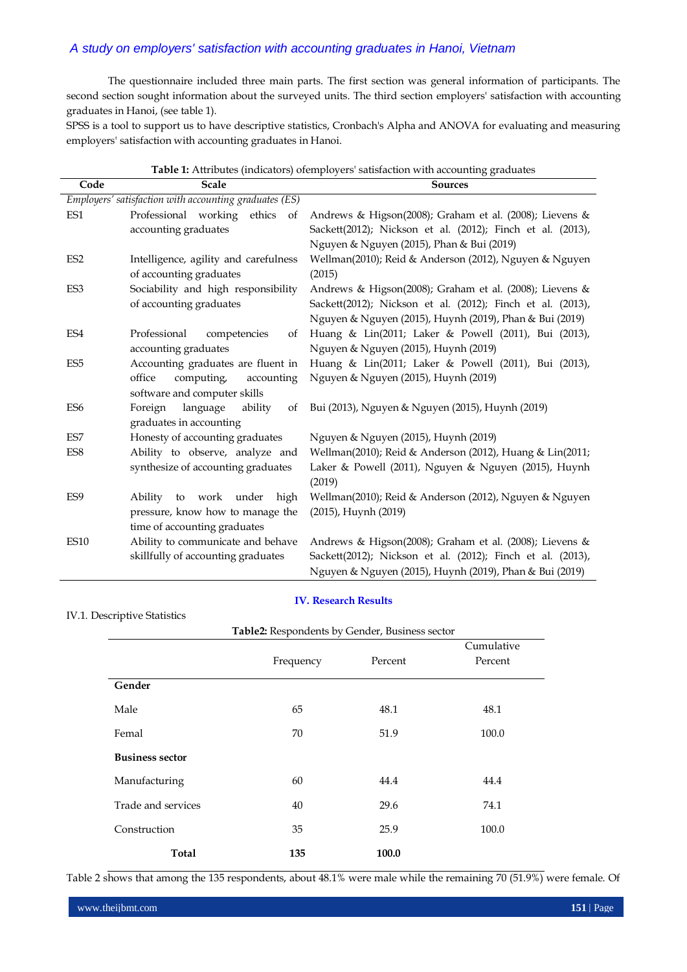The questionnaire included three main parts. The first section was general information of participants. The second section sought information about the surveyed units. The third section employers' satisfaction with accounting graduates in Hanoi, (see table 1).

SPSS is a tool to support us to have descriptive statistics, Cronbach's Alpha and ANOVA for evaluating and measuring employers' satisfaction with accounting graduates in Hanoi.

| Code            | <b>Scale</b>                                           | <b>Sources</b>                                             |
|-----------------|--------------------------------------------------------|------------------------------------------------------------|
|                 | Employers' satisfaction with accounting graduates (ES) |                                                            |
| ES1             | Professional working<br>ethics<br>of                   | Andrews & Higson(2008); Graham et al. (2008); Lievens &    |
|                 | accounting graduates                                   | Sackett(2012); Nickson et al. (2012); Finch et al. (2013), |
|                 |                                                        | Nguyen & Nguyen (2015), Phan & Bui (2019)                  |
| ES <sub>2</sub> | Intelligence, agility and carefulness                  | Wellman(2010); Reid & Anderson (2012), Nguyen & Nguyen     |
|                 | of accounting graduates                                | (2015)                                                     |
| ES3             | Sociability and high responsibility                    | Andrews & Higson(2008); Graham et al. (2008); Lievens &    |
|                 | of accounting graduates                                | Sackett(2012); Nickson et al. (2012); Finch et al. (2013), |
|                 |                                                        | Nguyen & Nguyen (2015), Huynh (2019), Phan & Bui (2019)    |
| ES4             | Professional<br>competencies<br>of                     | Huang & Lin(2011; Laker & Powell (2011), Bui (2013),       |
|                 | accounting graduates                                   | Nguyen & Nguyen (2015), Huynh (2019)                       |
| ES <sub>5</sub> | Accounting graduates are fluent in                     | Huang & Lin(2011; Laker & Powell (2011), Bui (2013),       |
|                 | office<br>computing,<br>accounting                     | Nguyen & Nguyen (2015), Huynh (2019)                       |
|                 | software and computer skills                           |                                                            |
| ES <sub>6</sub> | Foreign<br>language<br>ability<br>of                   | Bui (2013), Nguyen & Nguyen (2015), Huynh (2019)           |
|                 | graduates in accounting                                |                                                            |
| ES7             | Honesty of accounting graduates                        | Nguyen & Nguyen (2015), Huynh (2019)                       |
| ES <sub>8</sub> | Ability to observe, analyze and                        | Wellman(2010); Reid & Anderson (2012), Huang & Lin(2011;   |
|                 | synthesize of accounting graduates                     | Laker & Powell (2011), Nguyen & Nguyen (2015), Huynh       |
|                 |                                                        | (2019)                                                     |
| ES <sub>9</sub> | Ability to work under<br>high                          | Wellman(2010); Reid & Anderson (2012), Nguyen & Nguyen     |
|                 | pressure, know how to manage the                       | (2015), Huynh (2019)                                       |
|                 | time of accounting graduates                           |                                                            |
| <b>ES10</b>     | Ability to communicate and behave                      | Andrews & Higson(2008); Graham et al. (2008); Lievens &    |
|                 | skillfully of accounting graduates                     | Sackett(2012); Nickson et al. (2012); Finch et al. (2013), |
|                 |                                                        | Nguyen & Nguyen (2015), Huynh (2019), Phan & Bui (2019)    |

## **Table 1:** Attributes (indicators) ofemployers' satisfaction with accounting graduates

## **IV. Research Results**

# IV.1. Descriptive Statistics

|                        |           |         | Cumulative |
|------------------------|-----------|---------|------------|
|                        | Frequency | Percent | Percent    |
| Gender                 |           |         |            |
| Male                   | 65        | 48.1    | 48.1       |
| Femal                  | 70        | 51.9    |            |
| <b>Business sector</b> |           |         |            |
| Manufacturing          | 60        | 44.4    | 44.4       |
| Trade and services     | 40        | 29.6    | 74.1       |
| Construction           | 35        | 25.9    | 100.0      |
| Total                  | 135       | 100.0   |            |

Table 2 shows that among the 135 respondents, about 48.1% were male while the remaining 70 (51.9%) were female. Of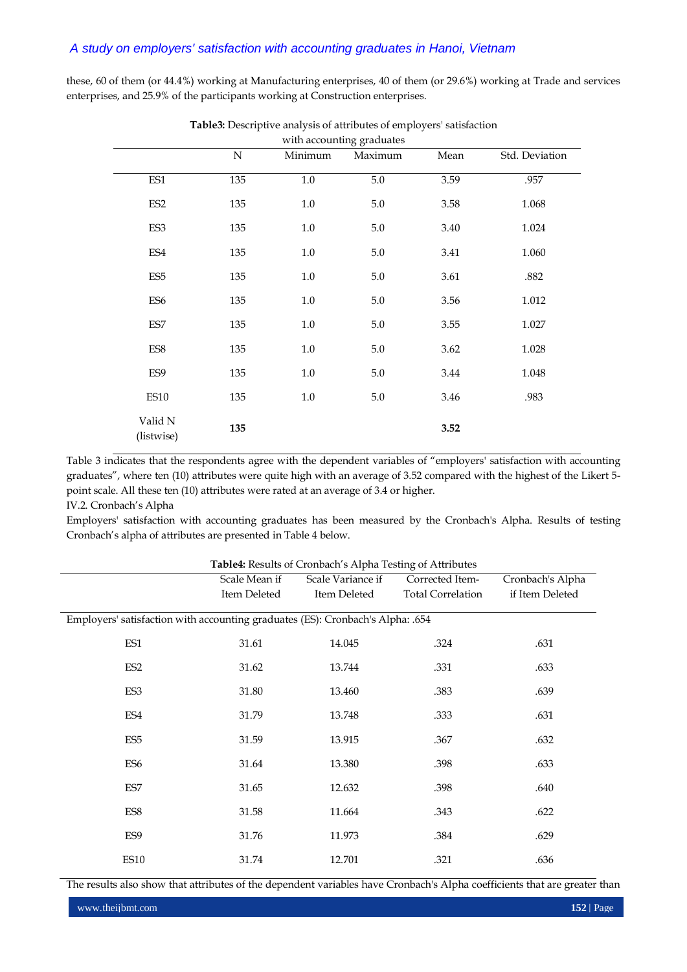these, 60 of them (or 44.4%) working at Manufacturing enterprises, 40 of them (or 29.6%) working at Trade and services enterprises, and 25.9% of the participants working at Construction enterprises.

|                       | ${\bf N}$ | Minimum | with accounting graduates<br>Maximum | Mean | Std. Deviation |
|-----------------------|-----------|---------|--------------------------------------|------|----------------|
|                       |           |         |                                      |      |                |
| ES1                   | 135       | $1.0\,$ | 5.0                                  | 3.59 | .957           |
| ES <sub>2</sub>       | 135       | $1.0\,$ | $5.0\,$                              | 3.58 | 1.068          |
| ES3                   | 135       | $1.0\,$ | 5.0                                  | 3.40 | 1.024          |
| ES4                   | 135       | $1.0\,$ | 5.0                                  | 3.41 | 1.060          |
| ES <sub>5</sub>       | 135       | $1.0\,$ | $5.0\,$                              | 3.61 | .882           |
| ES <sub>6</sub>       | 135       | $1.0\,$ | $5.0\,$                              | 3.56 | 1.012          |
| ES7                   | 135       | $1.0\,$ | $5.0\,$                              | 3.55 | 1.027          |
| ES8                   | 135       | $1.0\,$ | 5.0                                  | 3.62 | 1.028          |
| ES9                   | 135       | $1.0\,$ | $5.0\,$                              | 3.44 | 1.048          |
| <b>ES10</b>           | 135       | $1.0\,$ | $5.0\,$                              | 3.46 | .983           |
| Valid N<br>(listwise) | 135       |         |                                      | 3.52 |                |

**Table3:** Descriptive analysis of attributes of employers' satisfaction

Table 3 indicates that the respondents agree with the dependent variables of "employers' satisfaction with accounting graduates", where ten (10) attributes were quite high with an average of 3.52 compared with the highest of the Likert 5 point scale. All these ten (10) attributes were rated at an average of 3.4 or higher.

## IV.2. Cronbach's Alpha

Employers' satisfaction with accounting graduates has been measured by the Cronbach's Alpha. Results of testing Cronbach's alpha of attributes are presented in Table 4 below.

| <b>Table4:</b> Results of Cronbach s Alpha Testing of Attributes               |                                    |              |                          |                  |  |  |  |
|--------------------------------------------------------------------------------|------------------------------------|--------------|--------------------------|------------------|--|--|--|
|                                                                                | Scale Mean if<br>Scale Variance if |              | Corrected Item-          | Cronbach's Alpha |  |  |  |
|                                                                                | Item Deleted                       | Item Deleted | <b>Total Correlation</b> | if Item Deleted  |  |  |  |
|                                                                                |                                    |              |                          |                  |  |  |  |
| Employers' satisfaction with accounting graduates (ES): Cronbach's Alpha: .654 |                                    |              |                          |                  |  |  |  |
|                                                                                |                                    |              |                          |                  |  |  |  |
| ES1                                                                            | 31.61                              | 14.045       | .324                     | .631             |  |  |  |
| ES <sub>2</sub>                                                                | 31.62                              | 13.744       | .331                     | .633             |  |  |  |
|                                                                                |                                    |              |                          |                  |  |  |  |
| ES3                                                                            | 31.80                              | 13.460       | .383                     | .639             |  |  |  |
|                                                                                |                                    |              |                          |                  |  |  |  |
| ES4                                                                            | 31.79                              | 13.748       | .333                     | .631             |  |  |  |
|                                                                                |                                    |              |                          |                  |  |  |  |
| ES <sub>5</sub>                                                                | 31.59                              | 13.915       | .367                     | .632             |  |  |  |
|                                                                                |                                    |              |                          |                  |  |  |  |
| ES <sub>6</sub>                                                                | 31.64                              | 13.380       | .398                     | .633             |  |  |  |
| ES7                                                                            | 31.65                              | 12.632       | .398                     | .640             |  |  |  |
|                                                                                |                                    |              |                          |                  |  |  |  |
| ES8                                                                            | 31.58                              | 11.664       | .343                     | .622             |  |  |  |
|                                                                                |                                    |              |                          |                  |  |  |  |
| ES9                                                                            | 31.76                              | 11.973       | .384                     | .629             |  |  |  |
|                                                                                |                                    |              |                          |                  |  |  |  |
| ES <sub>10</sub>                                                               | 31.74                              | 12.701       | .321                     | .636             |  |  |  |
|                                                                                |                                    |              |                          |                  |  |  |  |

**Table4:** Results of Cronbach's Alpha Testing of Attributes

The results also show that attributes of the dependent variables have Cronbach's Alpha coefficients that are greater than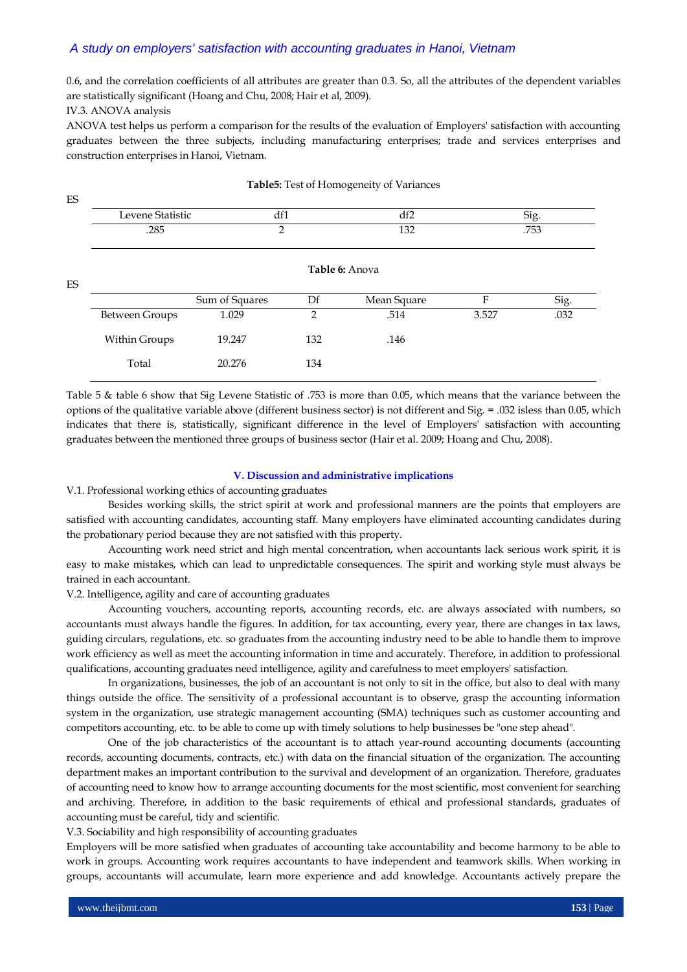0.6, and the correlation coefficients of all attributes are greater than 0.3. So, all the attributes of the dependent variables are statistically significant (Hoang and Chu, 2008; Hair et al, 2009).

IV.3. ANOVA analysis

 $E<sub>C</sub>$ 

ANOVA test helps us perform a comparison for the results of the evaluation of Employers' satisfaction with accounting graduates between the three subjects, including manufacturing enterprises; trade and services enterprises and construction enterprises in Hanoi, Vietnam.

| ĽJ        |                          |                |                        |             |              |      |  |
|-----------|--------------------------|----------------|------------------------|-------------|--------------|------|--|
|           | Levene Statistic<br>.285 |                | df1<br>df2<br>132<br>2 |             | Sig.<br>.753 |      |  |
|           |                          |                |                        |             |              |      |  |
| <b>ES</b> | Table 6: Anova           |                |                        |             |              |      |  |
|           |                          | Sum of Squares | Df                     | Mean Square | F            | Sig. |  |
|           | <b>Between Groups</b>    | 1.029          | 2                      | .514        | 3.527        | .032 |  |
|           | Within Groups            | 19.247         | 132                    | .146        |              |      |  |
|           | Total                    | 20.276         | 134                    |             |              |      |  |
|           |                          |                |                        |             |              |      |  |

#### **Table5:** Test of Homogeneity of Variances

Table 5 & table 6 show that Sig Levene Statistic of .753 is more than 0.05, which means that the variance between the options of the qualitative variable above (different business sector) is not different and Sig. = .032 isless than 0.05, which indicates that there is, statistically, significant difference in the level of Employers' satisfaction with accounting graduates between the mentioned three groups of business sector (Hair et al. 2009; Hoang and Chu, 2008).

### **V. Discussion and administrative implications**

V.1. Professional working ethics of accounting graduates

Besides working skills, the strict spirit at work and professional manners are the points that employers are satisfied with accounting candidates, accounting staff. Many employers have eliminated accounting candidates during the probationary period because they are not satisfied with this property.

Accounting work need strict and high mental concentration, when accountants lack serious work spirit, it is easy to make mistakes, which can lead to unpredictable consequences. The spirit and working style must always be trained in each accountant.

V.2. Intelligence, agility and care of accounting graduates

Accounting vouchers, accounting reports, accounting records, etc. are always associated with numbers, so accountants must always handle the figures. In addition, for tax accounting, every year, there are changes in tax laws, guiding circulars, regulations, etc. so graduates from the accounting industry need to be able to handle them to improve work efficiency as well as meet the accounting information in time and accurately. Therefore, in addition to professional qualifications, accounting graduates need intelligence, agility and carefulness to meet employers' satisfaction.

In organizations, businesses, the job of an accountant is not only to sit in the office, but also to deal with many things outside the office. The sensitivity of a professional accountant is to observe, grasp the accounting information system in the organization, use strategic management accounting (SMA) techniques such as customer accounting and competitors accounting, etc. to be able to come up with timely solutions to help businesses be "one step ahead".

One of the job characteristics of the accountant is to attach year-round accounting documents (accounting records, accounting documents, contracts, etc.) with data on the financial situation of the organization. The accounting department makes an important contribution to the survival and development of an organization. Therefore, graduates of accounting need to know how to arrange accounting documents for the most scientific, most convenient for searching and archiving. Therefore, in addition to the basic requirements of ethical and professional standards, graduates of accounting must be careful, tidy and scientific.

V.3. Sociability and high responsibility of accounting graduates

Employers will be more satisfied when graduates of accounting take accountability and become harmony to be able to work in groups. Accounting work requires accountants to have independent and teamwork skills. When working in groups, accountants will accumulate, learn more experience and add knowledge. Accountants actively prepare the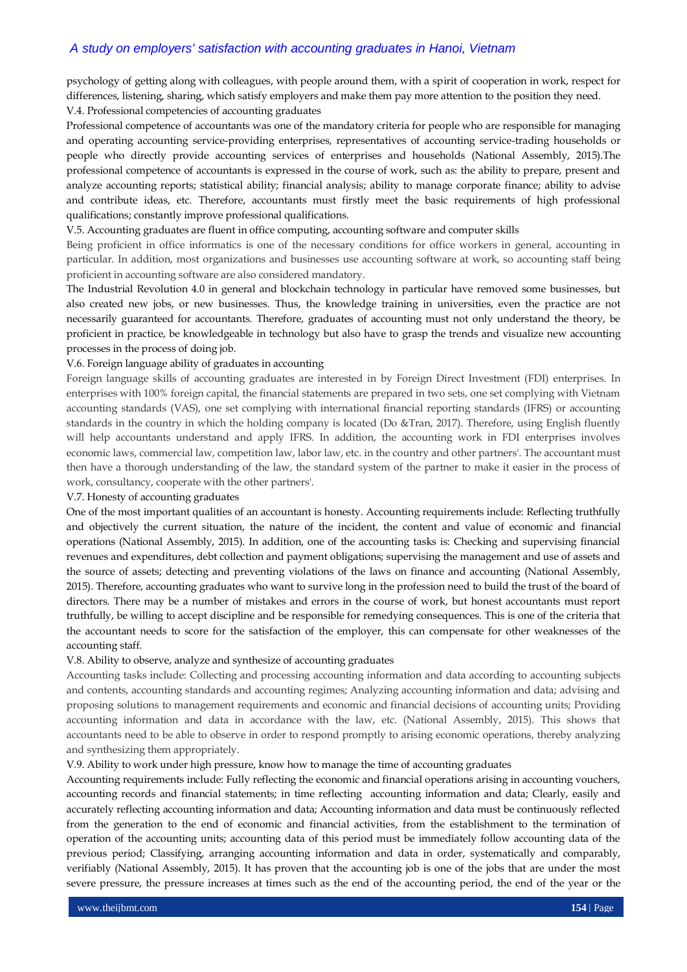psychology of getting along with colleagues, with people around them, with a spirit of cooperation in work, respect for differences, listening, sharing, which satisfy employers and make them pay more attention to the position they need. V.4. Professional competencies of accounting graduates

Professional competence of accountants was one of the mandatory criteria for people who are responsible for managing and operating accounting service-providing enterprises, representatives of accounting service-trading households or people who directly provide accounting services of enterprises and households (National Assembly, 2015).The professional competence of accountants is expressed in the course of work, such as: the ability to prepare, present and analyze accounting reports; statistical ability; financial analysis; ability to manage corporate finance; ability to advise and contribute ideas, etc. Therefore, accountants must firstly meet the basic requirements of high professional qualifications; constantly improve professional qualifications.

## V.5. Accounting graduates are fluent in office computing, accounting software and computer skills

Being proficient in office informatics is one of the necessary conditions for office workers in general, accounting in particular. In addition, most organizations and businesses use accounting software at work, so accounting staff being proficient in accounting software are also considered mandatory.

The Industrial Revolution 4.0 in general and blockchain technology in particular have removed some businesses, but also created new jobs, or new businesses. Thus, the knowledge training in universities, even the practice are not necessarily guaranteed for accountants. Therefore, graduates of accounting must not only understand the theory, be proficient in practice, be knowledgeable in technology but also have to grasp the trends and visualize new accounting processes in the process of doing job.

### V.6. Foreign language ability of graduates in accounting

Foreign language skills of accounting graduates are interested in by Foreign Direct Investment (FDI) enterprises. In enterprises with 100% foreign capital, the financial statements are prepared in two sets, one set complying with Vietnam accounting standards (VAS), one set complying with international financial reporting standards (IFRS) or accounting standards in the country in which the holding company is located (Do &Tran, 2017). Therefore, using English fluently will help accountants understand and apply IFRS. In addition, the accounting work in FDI enterprises involves economic laws, commercial law, competition law, labor law, etc. in the country and other partners'. The accountant must then have a thorough understanding of the law, the standard system of the partner to make it easier in the process of work, consultancy, cooperate with the other partners'.

#### V.7. Honesty of accounting graduates

One of the most important qualities of an accountant is honesty. Accounting requirements include: Reflecting truthfully and objectively the current situation, the nature of the incident, the content and value of economic and financial operations (National Assembly, 2015). In addition, one of the accounting tasks is: Checking and supervising financial revenues and expenditures, debt collection and payment obligations; supervising the management and use of assets and the source of assets; detecting and preventing violations of the laws on finance and accounting (National Assembly, 2015). Therefore, accounting graduates who want to survive long in the profession need to build the trust of the board of directors. There may be a number of mistakes and errors in the course of work, but honest accountants must report truthfully, be willing to accept discipline and be responsible for remedying consequences. This is one of the criteria that the accountant needs to score for the satisfaction of the employer, this can compensate for other weaknesses of the accounting staff.

#### V.8. Ability to observe, analyze and synthesize of accounting graduates

Accounting tasks include: Collecting and processing accounting information and data according to accounting subjects and contents, accounting standards and accounting regimes; Analyzing accounting information and data; advising and proposing solutions to management requirements and economic and financial decisions of accounting units; Providing accounting information and data in accordance with the law, etc. (National Assembly, 2015). This shows that accountants need to be able to observe in order to respond promptly to arising economic operations, thereby analyzing and synthesizing them appropriately.

#### V.9. Ability to work under high pressure, know how to manage the time of accounting graduates

Accounting requirements include: Fully reflecting the economic and financial operations arising in accounting vouchers, accounting records and financial statements; in time reflecting accounting information and data; Clearly, easily and accurately reflecting accounting information and data; Accounting information and data must be continuously reflected from the generation to the end of economic and financial activities, from the establishment to the termination of operation of the accounting units; accounting data of this period must be immediately follow accounting data of the previous period; Classifying, arranging accounting information and data in order, systematically and comparably, verifiably (National Assembly, 2015). It has proven that the accounting job is one of the jobs that are under the most severe pressure, the pressure increases at times such as the end of the accounting period, the end of the year or the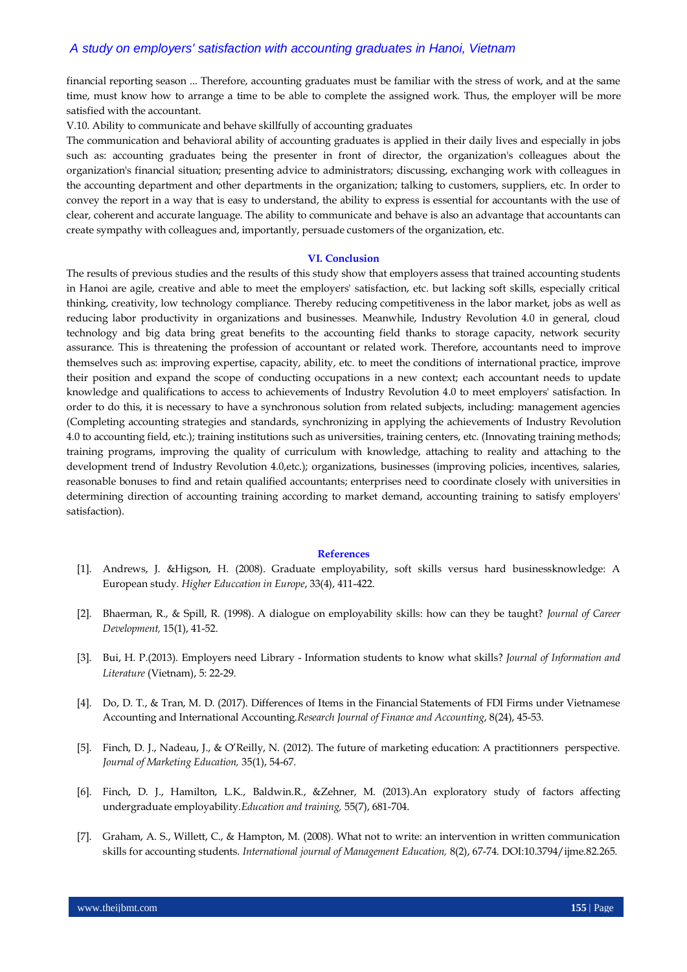financial reporting season ... Therefore, accounting graduates must be familiar with the stress of work, and at the same time, must know how to arrange a time to be able to complete the assigned work. Thus, the employer will be more satisfied with the accountant.

V.10. Ability to communicate and behave skillfully of accounting graduates

The communication and behavioral ability of accounting graduates is applied in their daily lives and especially in jobs such as: accounting graduates being the presenter in front of director, the organization's colleagues about the organization's financial situation; presenting advice to administrators; discussing, exchanging work with colleagues in the accounting department and other departments in the organization; talking to customers, suppliers, etc. In order to convey the report in a way that is easy to understand, the ability to express is essential for accountants with the use of clear, coherent and accurate language. The ability to communicate and behave is also an advantage that accountants can create sympathy with colleagues and, importantly, persuade customers of the organization, etc.

#### **VI. Conclusion**

The results of previous studies and the results of this study show that employers assess that trained accounting students in Hanoi are agile, creative and able to meet the employers' satisfaction, etc. but lacking soft skills, especially critical thinking, creativity, low technology compliance. Thereby reducing competitiveness in the labor market, jobs as well as reducing labor productivity in organizations and businesses. Meanwhile, Industry Revolution 4.0 in general, cloud technology and big data bring great benefits to the accounting field thanks to storage capacity, network security assurance. This is threatening the profession of accountant or related work. Therefore, accountants need to improve themselves such as: improving expertise, capacity, ability, etc. to meet the conditions of international practice, improve their position and expand the scope of conducting occupations in a new context; each accountant needs to update knowledge and qualifications to access to achievements of Industry Revolution 4.0 to meet employers' satisfaction. In order to do this, it is necessary to have a synchronous solution from related subjects, including: management agencies (Completing accounting strategies and standards, synchronizing in applying the achievements of Industry Revolution 4.0 to accounting field, etc.); training institutions such as universities, training centers, etc. (Innovating training methods; training programs, improving the quality of curriculum with knowledge, attaching to reality and attaching to the development trend of Industry Revolution 4.0,etc.); organizations, businesses (improving policies, incentives, salaries, reasonable bonuses to find and retain qualified accountants; enterprises need to coordinate closely with universities in determining direction of accounting training according to market demand, accounting training to satisfy employers' satisfaction).

#### **References**

- [1]. Andrews, J. &Higson, H. (2008). Graduate employability, soft skills versus hard businessknowledge: A European study. *Higher Educcation in Europe*, 33(4), 411-422.
- [2]. Bhaerman, R., & Spill, R. (1998). A dialogue on employability skills: how can they be taught? *Journal of Career Development,* 15(1), 41-52.
- [3]. Bui, H. P.(2013). Employers need Library Information students to know what skills? *Journal of Information and Literature* (Vietnam), 5: 22-29.
- [4]. Do, D. T., & Tran, M. D. (2017). Differences of Items in the Financial Statements of FDI Firms under Vietnamese Accounting and International Accounting.*Research Journal of Finance and Accounting*, 8(24), 45-53.
- [5]. Finch, D. J., Nadeau, J., & O'Reilly, N. (2012). The future of marketing education: A practitionners perspective. *Journal of Marketing Education,* 35(1), 54-67.
- [6]. Finch, D. J., Hamilton, L.K., Baldwin.R., &Zehner, M. (2013).An exploratory study of factors affecting undergraduate employability.*Education and training,* 55(7), 681-704.
- [7]. Graham, A. S., Willett, C., & Hampton, M. (2008). What not to write: an intervention in written communication skills for accounting students. *International journal of Management Education,* 8(2), 67-74. DOI:10.3794/ijme.82.265.